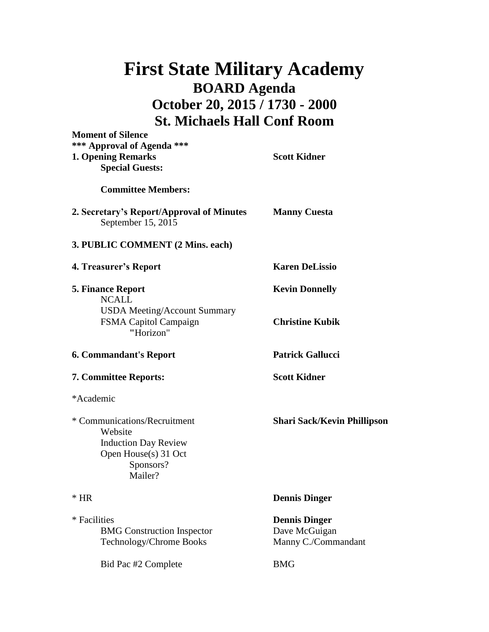## **First State Military Academy BOARD Agenda October 20, 2015 / 1730 - 2000 St. Michaels Hall Conf Room**

| <b>Moment of Silence</b><br>*** Approval of Agenda ***<br><b>1. Opening Remarks</b><br><b>Special Guests:</b>          | <b>Scott Kidner</b>                                          |
|------------------------------------------------------------------------------------------------------------------------|--------------------------------------------------------------|
| <b>Committee Members:</b>                                                                                              |                                                              |
| 2. Secretary's Report/Approval of Minutes<br>September 15, 2015                                                        | <b>Manny Cuesta</b>                                          |
| 3. PUBLIC COMMENT (2 Mins. each)                                                                                       |                                                              |
| 4. Treasurer's Report                                                                                                  | <b>Karen DeLissio</b>                                        |
| <b>5. Finance Report</b>                                                                                               | <b>Kevin Donnelly</b>                                        |
| <b>NCALL</b><br><b>USDA Meeting/Account Summary</b><br>FSMA Capitol Campaign<br>"Horizon"                              | <b>Christine Kubik</b>                                       |
| <b>6. Commandant's Report</b>                                                                                          | <b>Patrick Gallucci</b>                                      |
| <b>7. Committee Reports:</b>                                                                                           | <b>Scott Kidner</b>                                          |
| *Academic                                                                                                              |                                                              |
| * Communications/Recruitment<br>Website<br><b>Induction Day Review</b><br>Open House(s) 31 Oct<br>Sponsors?<br>Mailer? | <b>Shari Sack/Kevin Phillipson</b>                           |
| $*$ HR                                                                                                                 | <b>Dennis Dinger</b>                                         |
| * Facilities<br><b>BMG</b> Construction Inspector<br>Technology/Chrome Books                                           | <b>Dennis Dinger</b><br>Dave McGuigan<br>Manny C./Commandant |
| Bid Pac #2 Complete                                                                                                    | <b>BMG</b>                                                   |